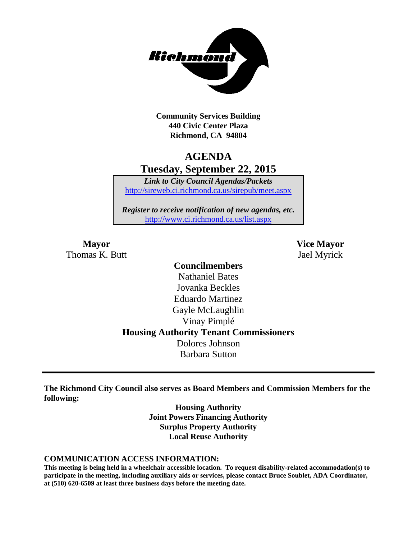

**Community Services Building 440 Civic Center Plaza Richmond, CA 94804**

# **AGENDA Tuesday, September 22, 2015**

*Link to City Council Agendas/Packets* <http://sireweb.ci.richmond.ca.us/sirepub/meet.aspx>

*Register to receive notification of new agendas, etc.* <http://www.ci.richmond.ca.us/list.aspx>

Thomas K. Butt Jael Myrick

**Mayor Vice Mayor**

## **Councilmembers** Nathaniel Bates Jovanka Beckles Eduardo Martinez Gayle McLaughlin Vinay Pimplé **Housing Authority Tenant Commissioners** Dolores Johnson Barbara Sutton

**The Richmond City Council also serves as Board Members and Commission Members for the following:**

> **Housing Authority Joint Powers Financing Authority Surplus Property Authority Local Reuse Authority**

#### **COMMUNICATION ACCESS INFORMATION:**

**This meeting is being held in a wheelchair accessible location. To request disability-related accommodation(s) to participate in the meeting, including auxiliary aids or services, please contact Bruce Soublet, ADA Coordinator, at (510) 620-6509 at least three business days before the meeting date.**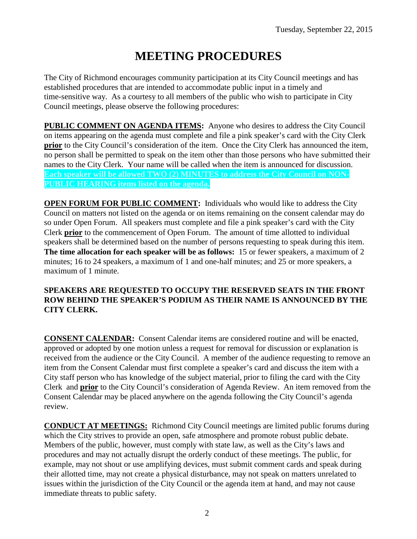# **MEETING PROCEDURES**

The City of Richmond encourages community participation at its City Council meetings and has established procedures that are intended to accommodate public input in a timely and time-sensitive way. As a courtesy to all members of the public who wish to participate in City Council meetings, please observe the following procedures:

**PUBLIC COMMENT ON AGENDA ITEMS:** Anyone who desires to address the City Council on items appearing on the agenda must complete and file a pink speaker's card with the City Clerk **prior** to the City Council's consideration of the item. Once the City Clerk has announced the item, no person shall be permitted to speak on the item other than those persons who have submitted their names to the City Clerk. Your name will be called when the item is announced for discussion. **Each speaker will be allowed TWO (2) MINUTES to address the City Council on NON-PUBLIC HEARING items listed on the agenda.**

**OPEN FORUM FOR PUBLIC COMMENT:** Individuals who would like to address the City Council on matters not listed on the agenda or on items remaining on the consent calendar may do so under Open Forum. All speakers must complete and file a pink speaker's card with the City Clerk **prior** to the commencement of Open Forum. The amount of time allotted to individual speakers shall be determined based on the number of persons requesting to speak during this item. **The time allocation for each speaker will be as follows:** 15 or fewer speakers, a maximum of 2 minutes; 16 to 24 speakers, a maximum of 1 and one-half minutes; and 25 or more speakers, a maximum of 1 minute.

#### **SPEAKERS ARE REQUESTED TO OCCUPY THE RESERVED SEATS IN THE FRONT ROW BEHIND THE SPEAKER'S PODIUM AS THEIR NAME IS ANNOUNCED BY THE CITY CLERK.**

**CONSENT CALENDAR:** Consent Calendar items are considered routine and will be enacted, approved or adopted by one motion unless a request for removal for discussion or explanation is received from the audience or the City Council. A member of the audience requesting to remove an item from the Consent Calendar must first complete a speaker's card and discuss the item with a City staff person who has knowledge of the subject material, prior to filing the card with the City Clerk and **prior** to the City Council's consideration of Agenda Review. An item removed from the Consent Calendar may be placed anywhere on the agenda following the City Council's agenda review.

**CONDUCT AT MEETINGS:** Richmond City Council meetings are limited public forums during which the City strives to provide an open, safe atmosphere and promote robust public debate. Members of the public, however, must comply with state law, as well as the City's laws and procedures and may not actually disrupt the orderly conduct of these meetings. The public, for example, may not shout or use amplifying devices, must submit comment cards and speak during their allotted time, may not create a physical disturbance, may not speak on matters unrelated to issues within the jurisdiction of the City Council or the agenda item at hand, and may not cause immediate threats to public safety.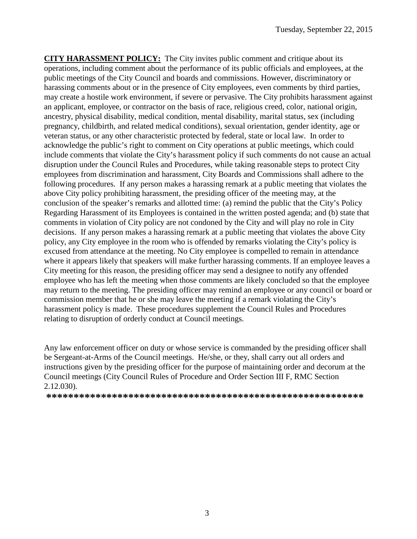**CITY HARASSMENT POLICY:** The City invites public comment and critique about its operations, including comment about the performance of its public officials and employees, at the public meetings of the City Council and boards and commissions. However, discriminatory or harassing comments about or in the presence of City employees, even comments by third parties, may create a hostile work environment, if severe or pervasive. The City prohibits harassment against an applicant, employee, or contractor on the basis of race, religious creed, color, national origin, ancestry, physical disability, medical condition, mental disability, marital status, sex (including pregnancy, childbirth, and related medical conditions), sexual orientation, gender identity, age or veteran status, or any other characteristic protected by federal, state or local law. In order to acknowledge the public's right to comment on City operations at public meetings, which could include comments that violate the City's harassment policy if such comments do not cause an actual disruption under the Council Rules and Procedures, while taking reasonable steps to protect City employees from discrimination and harassment, City Boards and Commissions shall adhere to the following procedures. If any person makes a harassing remark at a public meeting that violates the above City policy prohibiting harassment, the presiding officer of the meeting may, at the conclusion of the speaker's remarks and allotted time: (a) remind the public that the City's Policy Regarding Harassment of its Employees is contained in the written posted agenda; and (b) state that comments in violation of City policy are not condoned by the City and will play no role in City decisions. If any person makes a harassing remark at a public meeting that violates the above City policy, any City employee in the room who is offended by remarks violating the City's policy is excused from attendance at the meeting. No City employee is compelled to remain in attendance where it appears likely that speakers will make further harassing comments. If an employee leaves a City meeting for this reason, the presiding officer may send a designee to notify any offended employee who has left the meeting when those comments are likely concluded so that the employee may return to the meeting. The presiding officer may remind an employee or any council or board or commission member that he or she may leave the meeting if a remark violating the City's harassment policy is made. These procedures supplement the Council Rules and Procedures relating to disruption of orderly conduct at Council meetings.

Any law enforcement officer on duty or whose service is commanded by the presiding officer shall be Sergeant-at-Arms of the Council meetings. He/she, or they, shall carry out all orders and instructions given by the presiding officer for the purpose of maintaining order and decorum at the Council meetings (City Council Rules of Procedure and Order Section III F, RMC Section 2.12.030).

**\*\*\*\*\*\*\*\*\*\*\*\*\*\*\*\*\*\*\*\*\*\*\*\*\*\*\*\*\*\*\*\*\*\*\*\*\*\*\*\*\*\*\*\*\*\*\*\*\*\*\*\*\*\*\*\*\*\***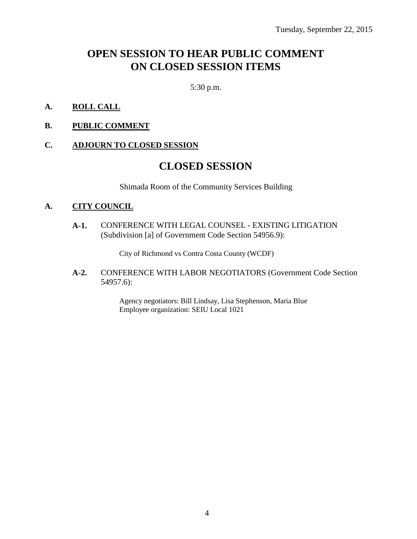# **OPEN SESSION TO HEAR PUBLIC COMMENT ON CLOSED SESSION ITEMS**

5:30 p.m.

- **A. ROLL CALL**
- **B. PUBLIC COMMENT**

#### **C. ADJOURN TO CLOSED SESSION**

### **CLOSED SESSION**

Shimada Room of the Community Services Building

#### **A. CITY COUNCIL**

**A-1.** CONFERENCE WITH LEGAL COUNSEL - EXISTING LITIGATION (Subdivision [a] of Government Code Section 54956.9):

City of Richmond vs Contra Costa County (WCDF)

**A-2.** CONFERENCE WITH LABOR NEGOTIATORS (Government Code Section 54957.6):

> Agency negotiators: Bill Lindsay, Lisa Stephenson, Maria Blue Employee organization: SEIU Local 1021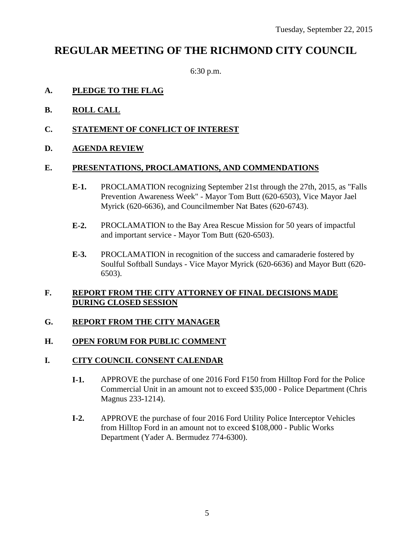# **REGULAR MEETING OF THE RICHMOND CITY COUNCIL**

6:30 p.m.

#### **A. PLEDGE TO THE FLAG**

- **B. ROLL CALL**
- **C. STATEMENT OF CONFLICT OF INTEREST**
- **D. AGENDA REVIEW**

#### **E. PRESENTATIONS, PROCLAMATIONS, AND COMMENDATIONS**

- **E-1.** PROCLAMATION recognizing September 21st through the 27th, 2015, as "Falls Prevention Awareness Week" - Mayor Tom Butt (620-6503), Vice Mayor Jael Myrick (620-6636), and Councilmember Nat Bates (620-6743).
- **E-2.** PROCLAMATION to the Bay Area Rescue Mission for 50 years of impactful and important service - Mayor Tom Butt (620-6503).
- **E-3.** PROCLAMATION in recognition of the success and camaraderie fostered by Soulful Softball Sundays - Vice Mayor Myrick (620-6636) and Mayor Butt (620- 6503).

#### **F. REPORT FROM THE CITY ATTORNEY OF FINAL DECISIONS MADE DURING CLOSED SESSION**

#### **G. REPORT FROM THE CITY MANAGER**

#### **H. OPEN FORUM FOR PUBLIC COMMENT**

#### **I. CITY COUNCIL CONSENT CALENDAR**

- **I-1.** APPROVE the purchase of one 2016 Ford F150 from Hilltop Ford for the Police Commercial Unit in an amount not to exceed \$35,000 - Police Department (Chris Magnus 233-1214).
- **I-2.** APPROVE the purchase of four 2016 Ford Utility Police Interceptor Vehicles from Hilltop Ford in an amount not to exceed \$108,000 - Public Works Department (Yader A. Bermudez 774-6300).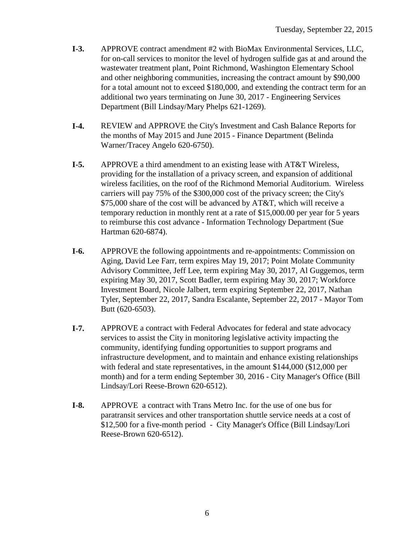- **I-3.** APPROVE contract amendment #2 with BioMax Environmental Services, LLC, for on-call services to monitor the level of hydrogen sulfide gas at and around the wastewater treatment plant, Point Richmond, Washington Elementary School and other neighboring communities, increasing the contract amount by \$90,000 for a total amount not to exceed \$180,000, and extending the contract term for an additional two years terminating on June 30, 2017 - Engineering Services Department (Bill Lindsay/Mary Phelps 621-1269).
- **I-4.** REVIEW and APPROVE the City's Investment and Cash Balance Reports for the months of May 2015 and June 2015 - Finance Department (Belinda Warner/Tracey Angelo 620-6750).
- **I-5.** APPROVE a third amendment to an existing lease with AT&T Wireless, providing for the installation of a privacy screen, and expansion of additional wireless facilities, on the roof of the Richmond Memorial Auditorium. Wireless carriers will pay 75% of the \$300,000 cost of the privacy screen; the City's \$75,000 share of the cost will be advanced by AT&T, which will receive a temporary reduction in monthly rent at a rate of \$15,000.00 per year for 5 years to reimburse this cost advance - Information Technology Department (Sue Hartman 620-6874).
- **I-6.** APPROVE the following appointments and re-appointments: Commission on Aging, David Lee Farr, term expires May 19, 2017; Point Molate Community Advisory Committee, Jeff Lee, term expiring May 30, 2017, Al Guggemos, term expiring May 30, 2017, Scott Badler, term expiring May 30, 2017; Workforce Investment Board, Nicole Jalbert, term expiring September 22, 2017, Nathan Tyler, September 22, 2017, Sandra Escalante, September 22, 2017 - Mayor Tom Butt (620-6503).
- **I-7.** APPROVE a contract with Federal Advocates for federal and state advocacy services to assist the City in monitoring legislative activity impacting the community, identifying funding opportunities to support programs and infrastructure development, and to maintain and enhance existing relationships with federal and state representatives, in the amount \$144,000 (\$12,000 per month) and for a term ending September 30, 2016 - City Manager's Office (Bill Lindsay/Lori Reese-Brown 620-6512).
- **I-8.** APPROVE a contract with Trans Metro Inc. for the use of one bus for paratransit services and other transportation shuttle service needs at a cost of \$12,500 for a five-month period - City Manager's Office (Bill Lindsay/Lori Reese-Brown 620-6512).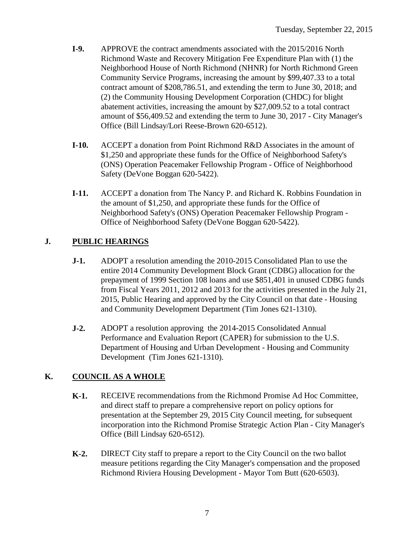- **I-9.** APPROVE the contract amendments associated with the 2015/2016 North Richmond Waste and Recovery Mitigation Fee Expenditure Plan with (1) the Neighborhood House of North Richmond (NHNR) for North Richmond Green Community Service Programs, increasing the amount by \$99,407.33 to a total contract amount of \$208,786.51, and extending the term to June 30, 2018; and (2) the Community Housing Development Corporation (CHDC) for blight abatement activities, increasing the amount by \$27,009.52 to a total contract amount of \$56,409.52 and extending the term to June 30, 2017 - City Manager's Office (Bill Lindsay/Lori Reese-Brown 620-6512).
- **I-10.** ACCEPT a donation from Point Richmond R&D Associates in the amount of \$1,250 and appropriate these funds for the Office of Neighborhood Safety's (ONS) Operation Peacemaker Fellowship Program - Office of Neighborhood Safety (DeVone Boggan 620-5422).
- **I-11.** ACCEPT a donation from The Nancy P. and Richard K. Robbins Foundation in the amount of \$1,250, and appropriate these funds for the Office of Neighborhood Safety's (ONS) Operation Peacemaker Fellowship Program - Office of Neighborhood Safety (DeVone Boggan 620-5422).

### **J. PUBLIC HEARINGS**

- **J-1.** ADOPT a resolution amending the 2010-2015 Consolidated Plan to use the entire 2014 Community Development Block Grant (CDBG) allocation for the prepayment of 1999 Section 108 loans and use \$851,401 in unused CDBG funds from Fiscal Years 2011, 2012 and 2013 for the activities presented in the July 21, 2015, Public Hearing and approved by the City Council on that date - Housing and Community Development Department (Tim Jones 621-1310).
- **J-2.** ADOPT a resolution approving the 2014-2015 Consolidated Annual Performance and Evaluation Report (CAPER) for submission to the U.S. Department of Housing and Urban Development - Housing and Community Development (Tim Jones 621-1310).

### **K. COUNCIL AS A WHOLE**

- **K-1.** RECEIVE recommendations from the Richmond Promise Ad Hoc Committee, and direct staff to prepare a comprehensive report on policy options for presentation at the September 29, 2015 City Council meeting, for subsequent incorporation into the Richmond Promise Strategic Action Plan - City Manager's Office (Bill Lindsay 620-6512).
- **K-2.** DIRECT City staff to prepare a report to the City Council on the two ballot measure petitions regarding the City Manager's compensation and the proposed Richmond Riviera Housing Development - Mayor Tom Butt (620-6503).